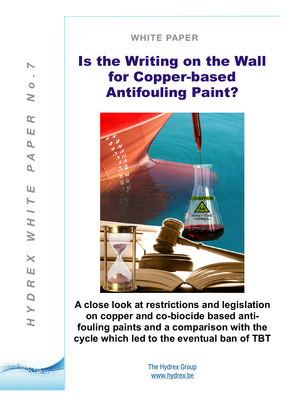# **WHITE PAPER**

**! !**

# Is the Writing on the Wall for Copper-based Antifouling Paint?



**A close look at restrictions and legislation on copper and co-biocide based antifouling paints and a comparison with the cycle which led to the eventual ban of TBT**

> The Hydrex Group [www.hydrex.be](http://www.hydrex.be)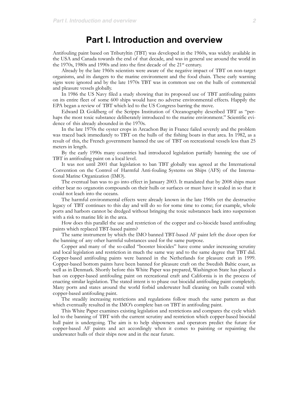# **Part I. Introduction and overview**

Antifouling paint based on Tributyltin (TBT) was developed in the 1960s, was widely available in the USA and Canada towards the end of that decade, and was in general use around the world in the 1970s, 1980s and 1990s and into the first decade of the 21st century.

Already by the late 1960s scientists were aware of the negative impact of TBT on non-target organisms, and its dangers to the marine environment and the food chain. These early warning signs were ignored and by the late 1970s TBT was in common use on the hulls of commercial and pleasure vessels globally.

In 1986 the US Navy filed a study showing that its proposed use of TBT antifouling paints on its entire fleet of some 600 ships would have no adverse environmental effects. Happily the EPA began a review of TBT which led to the US Congress barring the move.

Edward D. Goldberg of the Scripps Institution of Oceanography described TBT as "perhaps the most toxic substance deliberately introduced to the marine environment." Scientific evidence of this already abounded in the 1970s.

In the late 1970s the oyster crops in Arcachon Bay in France failed severely and the problem was traced back immediately to TBT on the hulls of the fishing boats in that area. In 1982, as a result of this, the French government banned the use of TBT on recreational vessels less than 25 meters in length.

By the early 1990s many countries had introduced legislation partially banning the use of TBT in antifouling paint on a local level.

It was not until 2001 that legislation to ban TBT globally was agreed at the International Convention on the Control of Harmful Anti-fouling Systems on Ships (AFS) of the International Marine Organization (IMO).

The eventual ban was to go into effect in January 2003. It mandated that by 2008 ships must either bear no organotin compounds on their hulls or surfaces or must have it sealed in so that it could not leach into the oceans.

The harmful environmental effects were already known in the late 1960s yet the destructive legacy of TBT continues to this day and will do so for some time to come; for example, whole ports and harbors cannot be dredged without bringing the toxic substances back into suspension with a risk to marine life in the area.

How does this parallel the use and restriction of the copper and co-biocide based antifouling paints which replaced TBT-based paints?

The same instrument by which the IMO banned TBT-based AF paint left the door open for the banning of any other harmful substances used for the same purpose.

Copper and many of the so-called "booster biocides" have come under increasing scrutiny and local legislation and restriction in much the same way and to the same degree that TBT did. Copper-based antifouling paints were banned in the Netherlands for pleasure craft in 1999. Copper-based bottom paints have been banned for pleasure craft on the Swedish Baltic coast, as well as in Denmark. Shortly before this White Paper was prepared, Washington State has placed a ban on copper-based antifouling paint on recreational craft and California is in the process of enacting similar legislation. The stated intent is to phase out biocidal antifouling paint completely. Many ports and states around the world forbid underwater hull cleaning on hulls coated with copper-based antifouling paint.

The steadily increasing restrictions and regulations follow much the same pattern as that which eventually resulted in the IMO's complete ban on TBT in antifouling paint.

This White Paper examines existing legislation and restrictions and compares the cycle which led to the banning of TBT with the current scrutiny and restriction which copper-based biocidal hull paint is undergoing. The aim is to help shipowners and operators predict the future for copper-based AF paints and act accordingly when it comes to painting or repainting the underwater hulls of their ships now and in the near future.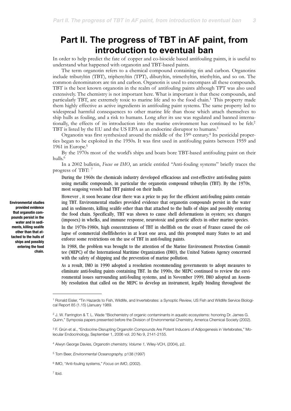# **Part II. The progress of TBT in AF paint, from introduction to eventual ban**

In order to help predict the fate of copper and co-biocide based antifouling paints, it is useful to understand what happened with organotin and TBT-based paints.

The term organotin refers to a chemical compound containing tin and carbon. Organotins include tributyltin (TBT), triphenyltin (TPT), dibutyltin, trimethyltin, triethyltin, and so on. The common denominators are tin and carbon. Organotin is used to encompass all these compounds. TBT is the best known organotin in the realm of antifouling paints although TPT was also used extensively. The chemistry is not important here. What is important is that these compounds, and particularly TBT, are extremely toxic to marine life and to the food chain[.1](#page-2-0) This property made them highly effective as active ingredients in antifouling paint systems. The same property led to widespread harmful consequences to other marine life than those which attach themselves to ship hulls as fouling, and a risk to humans. Long after its use was regulated and banned internationally, the effects of its introduction into the marine environment has continued to be felt.<sup>2</sup> TBT is listed by the EU and the US EPA as an endocrine disruptor to humans[.3](#page-2-2)

Organotin was first synthesized around the middle of the 19th century.[4](#page-2-3) Its pesticidal properties began to be exploited in the 1950s. It was first used in antifouling paints between 1959 and 1961 in Europe[.5](#page-2-4)

By the 1970s most of the world's ships and boats bore TBT-based antifouling paint on their hulls[.6](#page-2-5)

In a 2002 bulletin, *Focus on IMO*, an article entitled "Anti-fouling systems" briefly traces the progress of TBT: [7](#page-2-6)

During the 1960s the chemicals industry developed efficacious and cost-effective anti-fouling paints using metallic compounds, in particular the organotin compound tributylin (TBT). By the 1970s, most seagoing vessels had TBT painted on their hulls.

However , it soon became clear there was a price to pay for the efficient anti-fouling paints containing TBT. Environmental studies provided evidence that organotin compounds persist in the water and in sediments, killing sealife other than that attached to the hulls of ships and possibly entering the food chain. Specifically, TBT was shown to cause shell deformations in oysters; sex changes (imposex) in whelks, and immune response, neurotoxic and genetic affects in other marine species.

In the 1970s-1980s, high concentrations of TBT in shellfish on the coast of France caused the collapse of commercial shellfisheries in at least one area, and this prompted many States to act and enforce some restrictions on the use of TBT in anti-fouling paints.

In 1988, the problem was brought to the attention of the Marine Environment Protection Committee (MEPC) of the International Maritime Organization (IMO), the United Nations Agency concerned with the safety of shipping and the prevention of marine pollution.

As a result, IMO in 1990 adopted a resolution recommending governments to adopt measures to eliminate anti-fouling paints containing TBT. In the 1990s, the MEPC continued to review the environmental issues surrounding anti-fouling systems, and in November 1999, IMO adopted an Assembly resolution that called on the MEPC to develop an instrument, legally binding throughout the

<span id="page-2-6"></span>7 Ibid.

**Environmental studies provided evidence that organotin compounds persist in the water and in sediments, killing sealife other than that attached to the hulls of ships and possibly entering the food chain.**

<span id="page-2-0"></span><sup>1</sup> Ronald Eisler, "Tin Hazards to Fish, Wildlife, and Invertebrates: a Synoptic Review, US Fish and Wildlife Service Biological Report 85 (1.15) (January 1989.

<span id="page-2-1"></span><sup>2</sup> J. W. Farrington & T. L. Wade "Biochemistry of organic contaminants in aquatic ecosystems: honoring Dr. James G. Quinn," Symposia papers presented before the Division of Environmental Chemistry, America Chemical Society (2002).

<span id="page-2-2"></span><sup>3</sup> F. Grún et al., "Endocrine-Disrupting Organotin Compounds Are Potent Inducers of Adipogenesis in Vertebrates," Molecular Endocrinology, September 1, 2006 vol. 20 No 9, 2141-2155.

<span id="page-2-3"></span><sup>4</sup> Alwyn George Davies, *Organotin chemistry, Volume 1,* Wiley-VCH, (2004), p2.

<span id="page-2-4"></span><sup>5</sup> Tom Beer, *Environmental Oceanography,* p138 (1997)

<span id="page-2-5"></span><sup>6</sup> IMO, "Anti-fouling systems," *Focus on IMO*, (2002).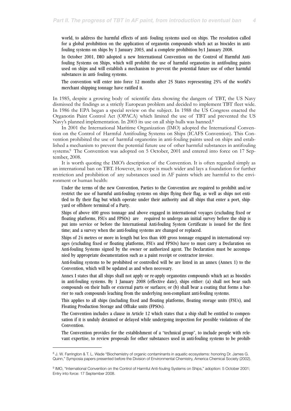world, to address the harmful effects of anti- fouling systems used on ships. The resolution called for a global prohibition on the application of organotin compounds which act as biocides in antifouling systems on ships by 1 January 2003, and a complete prohibition by1 January 2008.

In October 2001, IMO adopted a new International Convention on the Control of Harmful Antifouling Systems on Ships, which will prohibit the use of harmful organotins in antifouling paints used on ships and will establish a mechanism to prevent the potential future use of other harmful substances in anti- fouling systems.

The convention will enter into force 12 months after 25 States representing 25% of the world's merchant shipping tonnage have ratified it.

In 1985, despite a growing body of scientific data showing the dangers of TBT, the US Navy dismissed the findings as a strictly European problem and decided to implement TBT fleet wide. In 1986 the EPA began a special review on the subject. In 1988 the US Congress enacted the Organotin Paint Control Act (OPACA) which limited the use of TBT and prevented the US Navy's planned implementation. In 2003 its use on all ship hulls was banned.<sup>8</sup>

In 2001 the International Maritime Organization (IMO) adopted the International Convention on the Control of Harmful Antifouling Systems on Ships (ICAFS Convention). This Convention prohibited the use of harmful organotins in anti-fouling paints used on ships and established a mechanism to prevent the potential future use of other harmful substances in antifouling systems[.9](#page-3-1) The Convention was adopted on 5 October, 2001 and entered into force on 17 September, 2008.

It is worth quoting the IMO's description of the Convention. It is often regarded simply as an international ban on TBT. However, its scope is much wider and lays a foundation for further restriction and prohibition of any substances used in AF paints which are harmful to the environment or human health:

Under the terms of the new Convention, Parties to the Convention are required to prohibit and/or restrict the use of harmful anti-fouling systems on ships flying their flag, as well as ships not entitled to fly their flag but which operate under their authority and all ships that enter a port, shipyard or offshore terminal of a Party.

Ships of above 400 gross tonnage and above engaged in international voyages (excluding fixed or floating platforms, FSUs and FPSOs) are required to undergo an initial survey before the ship is put into service or before the International Anti-fouling System Certificate is issued for the first time; and a survey when the anti-fouling systems are changed or replaced.

Ships of 24 metres or more in length but less than 400 gross tonnage engaged in international voyages (excluding fixed or floating platforms, FSUs and FPSOs) have to must carry a Declaration on Anti-fouling Systems signed by the owner or authorized agent. The Declaration must be accompanied by appropriate documentation such as a paint receipt or contractor invoice.

Anti-fouling systems to be prohibited or controlled will be are listed in an annex (Annex 1) to the Convention, which will be updated as and when necessary.

Annex I states that all ships shall not apply or re-apply organotins compounds which act as biocides in anti-fouling systems. By 1 January 2008 (effective date), ships either: (a) shall not bear such compounds on their hulls or external parts or surfaces; or (b) shall bear a coating that forms a barrier to such compounds leaching from the underlying non-compliant anti-fouling systems.

This applies to all ships (including fixed and floating platforms, floating storage units (FSUs), and Floating Production Storage and Offtake units (FPSOs).

The Convention includes a clause in Article 12 which states that a ship shall be entitled to compensation if it is unduly detained or delayed while undergoing inspection for possible violations of the Convention.

The Convention provides for the establishment of a "technical group", to include people with relevant expertise, to review proposals for other substances used in anti-fouling systems to be prohib-

<span id="page-3-0"></span><sup>8</sup> J. W. Farrington & T. L. Wade "Biochemistry of organic contaminants in aquatic ecosystems: honoring Dr. James G. Quinn," Symposia papers presented before the Division of Environmental Chemistry, America Chemical Society (2002).

<span id="page-3-1"></span><sup>9</sup> IMO, "International Convention on the Control of Harmful Anti-fouling Systems on Ships," adoption: 5 October 2001; Entry into force: 17 September 2008.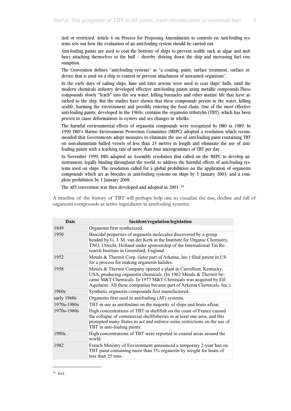ited or restricted. Article 6 on Process for Proposing Amendments to controls on Anti-fouling systems sets out how the evaluation of an anti-fouling system should be carried out.

Anti-fouling paints are used to coat the bottoms of ships to prevent sealife such as algae and molluscs attaching themselves to the hull – thereby slowing down the ship and increasing fuel consumption.

The Convention defines "anti-fouling systems" as "a coating, paint, surface treatment, surface or device that is used on a ship to control or prevent attachment of unwanted organisms".

In the early days of sailing ships, lime and later arsenic were used to coat ships' hulls, until the modern chemicals industry developed effective anti-fouling paints using metallic compounds.These compounds slowly "leach" into the sea water, killing barnacles and other marine life that have attached to the ship. But the studies have shown that these compounds persist in the water, killing sealife, harming the environment and possibly entering the food chain. One of the most effective anti-fouling paints, developed in the 1960s, contains the organotin tributylin (TBT), which has been proven to cause deformations in oysters and sex changes in whelks.

The harmful environmental effects of organotin compounds were recognized by IMO in 1989. In 1990 IMO's Marine Environment Protection Committee (MEPC) adopted a resolution which recommended that Governments adopt measures to eliminate the use of anti-fouling paint containing TBT on non-aluminium hulled vessels of less than 25 metres in length and eliminate the use of antifouling paints with a leaching rate of more than four microgrammes of TBT per day.

In November 1999, IMO adopted an Assembly resolution that called on the MEPC to develop an instrument, legally binding throughout the world, to address the harmful effects of anti-fouling systems used on ships. The resolution called for a global prohibition on the application of organotin compounds which act as biocides in anti-fouling systems on ships by 1 January 2003, and a complete prohibition by 1 January 2008.

The AFS convention was then developed and adopted in 2001. [10](#page-4-0)

A timeline of the history of TBT will perhaps help one to visualize the rise, decline and fall of organotin compounds as active ingredients in antifouling systems:

<span id="page-4-0"></span>

| Date        | Incident/regulation/legislation                                                                                                                                                                                                                                                 |
|-------------|---------------------------------------------------------------------------------------------------------------------------------------------------------------------------------------------------------------------------------------------------------------------------------|
| 1849        | Organotin first synthesized.                                                                                                                                                                                                                                                    |
| 1950        | Biocidal properties of organotin molecules discovered by a group<br>headed by G. J. M. van der Kerk at the Institute for Organic Chemistry,<br>TNO, Utrecht, Holland under sponsorship of the International Tin Re-<br>search Institute in Greenford, England.                  |
| 1952        | Metals & Thermit Corp. (later part of Arkema, Inc.) filed patent in US<br>for a process for making organotin halides.                                                                                                                                                           |
| 1958        | Metals & Thermit Company opened a plant in Carrollton, Kentucky,<br>USA, producing organotin chemicals. (In 1962 Metals & Thermit be-<br>came M&T Chemicals. In 1977 M&T Chemicals was acquired by Elf<br>Aquitaine. All these companies became part of Arkema Chemicals, Inc.) |
| 1960s       | Synthetic organotin compounds first manufactured.                                                                                                                                                                                                                               |
| early 1960s | Organotin first used in antifouling (AF) systems.                                                                                                                                                                                                                               |
| 1970s-1980s | TBT in use as antifoulant on the majority of ships and boats afloat.                                                                                                                                                                                                            |
| 1970s-1980s | High concentrations of TBT in shell fish on the coast of France caused<br>the collapse of commercial shellfisheries in at least one area, and this<br>prompted many States to act and enforce some restrictions on the use of<br>TBT in anti-fouling paints.                    |
| 1980s       | High concentrations of TBT were reported in coastal areas around the<br>world.                                                                                                                                                                                                  |
| 1982        | French Ministry of Environment announced a temporary 2-year ban on<br>TBT paint containing more than 3% organotin by weight for boats of<br>less than 25 tons.                                                                                                                  |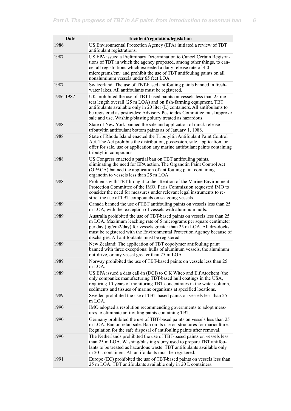| <b>Date</b> | Incident/regulation/legislation                                                                                                                                                                                                                                                                                                                                     |
|-------------|---------------------------------------------------------------------------------------------------------------------------------------------------------------------------------------------------------------------------------------------------------------------------------------------------------------------------------------------------------------------|
| 1986        | US Environmental Protection Agency (EPA) initiated a review of TBT<br>antifoulant registrations.                                                                                                                                                                                                                                                                    |
| 1987        | US EPA issued a Preliminary Determination to Cancel Certain Registra-<br>tions of TBT in which the agency proposed, among other things, to can-<br>cel all registrations which exceeded a daily release rate of 4.0<br>micrograms/cm <sup>2</sup> and prohibit the use of TBT antifouling paints on all<br>nonaluminum vessels under 65 feet LOA.                   |
| 1987        | Switzerland: The use of TBT-based antifouling paints banned in fresh-<br>water lakes. All antifoulants must be registered.                                                                                                                                                                                                                                          |
| 1986-1987   | UK prohibited the use of TBT-based paints on vessels less than 25 me-<br>ters length overall (25 m LOA) and on fish-farming equipment. TBT<br>antifoulants available only in 20 liter (L) containers. All antifoulants to<br>be registered as pesticides; Advisory Pesticides Committee must approve<br>sale and use. Washing/blasting slurry treated as hazardous. |
| 1988        | State of New York banned the sale and application of quick release<br>tributyltin antifoulant bottom paints as of January 1, 1988.                                                                                                                                                                                                                                  |
| 1988        | State of Rhode Island enacted the Tributyltin Antifoulant Paint Control<br>Act. The Act prohibits the distribution, possession, sale, application, or<br>offer for sale, use or application any marine antifoulant paints containing<br>tributyltin compounds.                                                                                                      |
| 1988        | US Congress enacted a partial ban on TBT antifouling paints,<br>eliminating the need for EPA action. The Organotin Paint Control Act<br>(OPACA) banned the application of antifouling paint containing<br>organotin to vessels less than 25 m LOA.                                                                                                                  |
| 1988        | Problems with TBT brought to the attention of the Marine Environment<br>Protection Committee of the IMO. Paris Commission requested IMO to<br>consider the need for measures under relevant legal instruments to re-<br>strict the use of TBT compounds on seagoing vessels.                                                                                        |
| 1989        | Canada banned the use of TBT antifouling paints on vessels less than 25<br>m LOA, with the exception of vessels with aluminum hulls.                                                                                                                                                                                                                                |
| 1989        | Australia prohibited the use of TBT-based paints on vessels less than 25<br>m LOA. Maximum leaching rate of 5 micrograms per square centimeter<br>per day (µg/cm2/day) for vessels greater than 25 m LOA. All dry-docks<br>must be registered with the Environmental Protection Agency because of<br>discharges. All antifoulants must be registered.               |
| 1989        | New Zealand: The application of TBT copolymer antifouling paint<br>banned with three exceptions: hulls of aluminum vessels, the aluminum<br>out-drive, or any vessel greater than 25 m LOA.                                                                                                                                                                         |
| 1989        | Norway prohibited the use of TBT-based paints on vessels less than 25<br>m LOA.                                                                                                                                                                                                                                                                                     |
| 1989        | US EPA issued a data call-in (DCI) to C K Witco and Elf Atochem (the<br>only companies manufacturing TBT-based hull coatings in the USA,<br>requiring 10 years of monitoring TBT concentrates in the water column,<br>sediments and tissues of marine organisms at specified locations.                                                                             |
| 1989        | Sweden prohibited the use of TBT-based paints on vessels less than 25<br>m LOA.                                                                                                                                                                                                                                                                                     |
| 1990        | IMO adopted a resolution recommending governments to adopt meas-<br>ures to eliminate antifouling paints containing TBT.                                                                                                                                                                                                                                            |
| 1990        | Germany prohibited the use of TBT-based paints on vessels less than 25<br>m LOA. Ban on retail sale. Ban on its use on structures for mariculture.<br>Regulation for the safe disposal of antifouling paints after removal.                                                                                                                                         |
| 1990        | The Netherlands prohibited the use of TBT-based paints on vessels less<br>than 25 m LOA. Washing/blasting slurry used to prepare TBT antifou-<br>lants to be treated as hazardous waste. TBT antifoulants available only<br>in 20 L containers. All antifoulants must be registered.                                                                                |
| 1991        | Europe (EC) prohibited the use of TBT-based paints on vessels less than<br>25 m LOA. TBT antifoulants available only in 20 L containers.                                                                                                                                                                                                                            |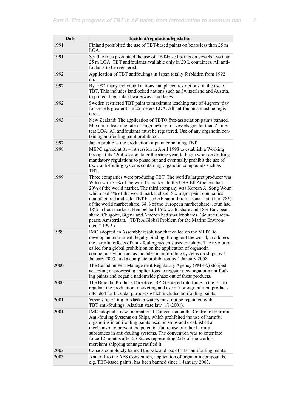| Date | Incident/regulation/legislation                                                                                                                                                                                                                                                                                                                                                                                                                                                                                                                                                                                                                                       |
|------|-----------------------------------------------------------------------------------------------------------------------------------------------------------------------------------------------------------------------------------------------------------------------------------------------------------------------------------------------------------------------------------------------------------------------------------------------------------------------------------------------------------------------------------------------------------------------------------------------------------------------------------------------------------------------|
| 1991 | Finland prohibited the use of TBT-based paints on boats less than 25 m<br>LOA.                                                                                                                                                                                                                                                                                                                                                                                                                                                                                                                                                                                        |
| 1991 | South Africa prohibited the use of TBT-based paints on vessels less than<br>25 m LOA. TBT antifoulants available only in 20 L containers. All anti-<br>foulants to be registered.                                                                                                                                                                                                                                                                                                                                                                                                                                                                                     |
| 1992 | Application of TBT antifoulings in Japan totally forbidden from 1992<br>on.                                                                                                                                                                                                                                                                                                                                                                                                                                                                                                                                                                                           |
| 1992 | By 1992 many individual nations had placed restrictions on the use of<br>TBT. This includes landlocked nations such as Switzerland and Austria,<br>to protect their inland waterways and lakes.                                                                                                                                                                                                                                                                                                                                                                                                                                                                       |
| 1992 | Sweden restricted TBT paint to maximum leaching rate of 4µg/cm <sup>2</sup> /day<br>for vessels greater than 25 meters LOA. All antifoulants must be regis-<br>tered.                                                                                                                                                                                                                                                                                                                                                                                                                                                                                                 |
| 1993 | New Zealand: The application of TBTO free-association paints banned.<br>Maximum leaching rate of 5µg/cm <sup>2</sup> /day for vessels greater than 25 me-<br>ters LOA. All antifoulants must be registered. Use of any organotin con-<br>taining antifouling paint prohibited.                                                                                                                                                                                                                                                                                                                                                                                        |
| 1997 | Japan prohibits the production of paint containing TBT.                                                                                                                                                                                                                                                                                                                                                                                                                                                                                                                                                                                                               |
| 1998 | MEPC agreed at its 41st session in April 1998 to establish a Working<br>Group at its 42nd session, later the same year, to begin work on drafting<br>mandatory regulations to phase out and eventually prohibit the use of<br>toxic anti-fouling systems containing organotin compounds such as<br>TBT.                                                                                                                                                                                                                                                                                                                                                               |
| 1999 | Three companies were producing TBT. The world's largest producer was<br>Witco with 75% of the world's market. In the USA Elf Atochem had<br>20% of the world market. The third company was Korean A. Song Woun<br>which had 5% of the world market share. Six major paint companies<br>manufactured and sold TBT based AF paint. International Paint had 28%<br>of the world market share, 34% of the European market share. Jotun had<br>18% in both markets. Hempel had 16% world share and 18% European<br>share. Chugoku, Sigma and Ameron had smaller shares. (Source Green-<br>peace, Amsterdam, "TBT: A Global Problem for the Marine Environ-<br>ment" 1999.) |
| 1999 | IMO adopted an Assembly resolution that called on the MEPC to<br>develop an instrument, legally binding throughout the world, to address<br>the harmful effects of anti-fouling systems used on ships. The resolution<br>called for a global prohibition on the application of organotin<br>compounds which act as biocides in antifouling systems on ships by 1<br>January 2003, and a complete prohibition by 1 January 2008.                                                                                                                                                                                                                                       |
| 2000 | The Canadian Pest Management Regulatory Agency (PMRA) stopped<br>accepting or processing applications to register new organotin antifoul-<br>ing paints and began a nationwide phase out of these products.                                                                                                                                                                                                                                                                                                                                                                                                                                                           |
| 2000 | The Biocidal Products Directive (BPD) entered into force in the EU to<br>regulate the production, marketing and use of non-agricultural products<br>intended for biocidal purposes which included antifouling paints.                                                                                                                                                                                                                                                                                                                                                                                                                                                 |
| 2001 | Vessels operating in Alaskan waters must not be repainted with<br>TBT anti-foulings (Alaskan state law, 1/1/2001).                                                                                                                                                                                                                                                                                                                                                                                                                                                                                                                                                    |
| 2001 | IMO adopted a new International Convention on the Control of Harmful<br>Anti-fouling Systems on Ships, which prohibited the use of harmful<br>organotins in antifouling paints used on ships and established a<br>mechanism to prevent the potential future use of other harmful<br>substances in anti-fouling systems. The convention was to enter into<br>force 12 months after 25 States representing 25% of the world's<br>merchant shipping tonnage ratified it.                                                                                                                                                                                                 |
| 2002 | Canada completely banned the sale and use of TBT antifouling paints.                                                                                                                                                                                                                                                                                                                                                                                                                                                                                                                                                                                                  |
| 2003 | Annex 1 to the AFS Convention, application of organotin compounds,<br>e.g. TBT-based paints, has been banned since 1 January 2003.                                                                                                                                                                                                                                                                                                                                                                                                                                                                                                                                    |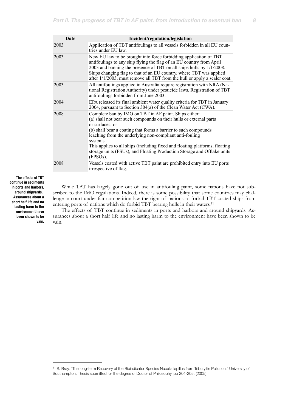| Date | Incident/regulation/legislation                                                                                                                                                                                                                                                                                                                                                                                                                                |
|------|----------------------------------------------------------------------------------------------------------------------------------------------------------------------------------------------------------------------------------------------------------------------------------------------------------------------------------------------------------------------------------------------------------------------------------------------------------------|
| 2003 | Application of TBT antifoulings to all vessels forbidden in all EU coun-<br>tries under EU law.                                                                                                                                                                                                                                                                                                                                                                |
| 2003 | New EU law to be brought into force forbidding application of TBT<br>antifoulings to any ship flying the flag of an EU country from April<br>2003 and banning the presence of TBT on all ships hulls by $1/1/2008$ .<br>Ships changing flag to that of an EU country, where TBT was applied<br>after 1/1/2003, must remove all TBT from the hull or apply a sealer coat.                                                                                       |
| 2003 | All antifoulings applied in Australia require registration with NRA (Na-<br>tional Registration Authority) under pesticide laws. Registration of TBT<br>antifoulings forbidden from June 2003.                                                                                                                                                                                                                                                                 |
| 2004 | EPA released its final ambient water quality criteria for TBT in January<br>2004, pursuant to Section 304(a) of the Clean Water Act (CWA).                                                                                                                                                                                                                                                                                                                     |
| 2008 | Complete ban by IMO on TBT in AF paint. Ships either:<br>(a) shall not bear such compounds on their hulls or external parts<br>or surfaces; or<br>(b) shall bear a coating that forms a barrier to such compounds<br>leaching from the underlying non-compliant anti-fouling<br>systems.<br>This applies to all ships (including fixed and floating platforms, floating<br>storage units (FSUs), and Floating Production Storage and Offtake units<br>(FPSOs). |
| 2008 | Vessels coated with active TBT paint are prohibited entry into EU ports<br>irrespective of flag.                                                                                                                                                                                                                                                                                                                                                               |

**The effects of TBT continue in sediments in ports and harbors, around shipyards. Assurances about a short half life and no lasting harm to the environment have been shown to be vain.** 

While TBT has largely gone out of use in antifouling paint, some nations have not subscribed to the IMO regulations. Indeed, there is some possibility that some countries may challenge in court under fair competition law the right of nations to forbid TBT coated ships from entering ports of nations which do forbid TBT bearing hulls in their waters.<sup>11</sup>

The effects of TBT continue in sediments in ports and harbors and around shipyards. Assurances about a short half life and no lasting harm to the environment have been shown to be vain.

<span id="page-7-0"></span><sup>11</sup> S. Bray, "The long-term Recovery of the Bioindicator Species Nucella lapillus from Tributyltin Pollution." University of Southampton, Thesis submitted for the degree of Doctor of Philosophy, pp 204-205, (2005)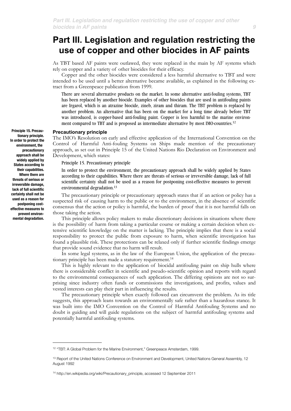# **Part III. Legislation and regulation restricting the use of copper and other biocides in AF paints**

As TBT based AF paints were outlawed, they were replaced in the main by AF systems which rely on copper and a variety of other biocides for their efficacy.

Copper and the other biocides were considered a less harmful alternative to TBT and were intended to be used until a better alternative became available, as explained in the following extract from a Greenpeace publication from 1999.

There are several alternative products on the market. In some alternative anti-fouling systems, TBT has been replaced by another biocide. Examples of other biocides that are used in antifouling paints are Irgarol, which is an atrazine biocide, zineb, ziram and thiram. The TBT problem is replaced by another problem. An alternative that has been on the market for a long time already before TBT was introduced, is copper-based anti-fouling paint. Copper is less harmful to the marine environment compared to TBT and is proposed as intermediate alternative by most IMO-countries.[12](#page-8-0)

### **Precautionary principle**

The IMO's Resolution on early and effective application of the International Convention on the Control of Harmful Anti-fouling Systems on Ships made mention of the precautionary approach, as set out in Principle 15 of the United Nations Rio Declaration on Environment and Development, which states:

Principle 15. Precautionary principle

In order to protect the environment, the precautionary approach shall be widely applied by States according to their capabilities. Where there are threats of serious or irreversible damage, lack of full scientific certainty shall not be used as a reason for postponing cost-effective measures to prevent environmental degradation.[13](#page-8-1)

The precautionary principle or precautionary approach states that if an action or policy has a suspected risk of causing harm to the [public](http://en.wikipedia.org/wiki/Public) or to the environment, in the absence of scientific consensus that the action or policy is harmful, the burden of proof that it is not harmful falls on those taking the action.

This principle allows policy makers to make discretionary decisions in situations where there is the possibility of harm from taking a particular course or making a certain decision when extensive scientific knowledge on the matter is lacking. The principle implies that there is a social responsibility to protect the public from exposure to harm, when scientific investigation has found a plausible risk. These protections can be relaxed only if further scientific findings emerge that provide sound evidence that no harm will result.

In some legal systems, as in the law of the European Union, the application of the precautionary principle has been made a statutory requirement[.14](#page-8-2)

This is highly relevant to the application of biocidal antifouling paint on ship hulls where there is considerable conflict in scientific and pseudo-scientific opinion and reports with regard to the environmental consequences of such application. The differing opinions are not so surprising since industry often funds or commissions the investigations, and profits, values and vested interests can play their part in influencing the results.

The precautionary principle when exactly followed can circumvent the problem. As its title suggests, this approach leans towards an environmentally safe rather than a hazardous stance. It was built into the IMO Convention on the Control of Harmful Antifouling Systems and no doubt is guiding and will guide regulations on the subject of harmful antifouling systems and potentially harmful antifouling systems.

**Principle 15. Precautionary principle. In order to protect the environment, the precautionary approach shall be widely applied by States according to their capabilities. Where there are threats of serious or irreversible damage, lack of full scientific certainty shall not be used as a reason for postponing costeffective measures to prevent environmental degradation.**

<span id="page-8-0"></span><sup>12 &</sup>quot;TBT: A Global Problem for the Marine Environment," Greenpeace Amsterdam, 1999.

<span id="page-8-1"></span><sup>&</sup>lt;sup>13</sup> Report of the United Nations Conference on Environment and Development, United Nations General Assembly, 12 August 1992

<span id="page-8-2"></span><sup>14</sup> http://en.wikipedia.org/wiki/Precautionary\_principle, accessed 12 September 2011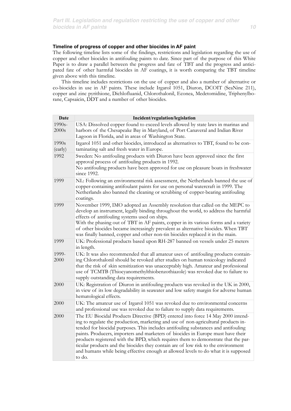# **Timeline of progress of copper and other biocides in AF paint**

The following timeline lists some of the findings, restrictions and legislation regarding the use of copper and other biocides in antifouling paints to date. Since part of the purpose of this White Paper is to draw a parallel between the progress and fate of TBT and the progress and anticipated fate of other harmful biocides in AF coatings, it is worth comparing the TBT timeline given above with this timeline.

This timeline includes restrictions on the use of copper and also a number of alternative or co-biocides in use in AF paints. These include Irgarol 1051, Diuron, DCOIT (SeaNine 211), copper and zinc pyrithione, Dichlofluanid, Chlorothalonil, Econea, Medetomidine, Triphenylborane, Capsaicin, DDT and a number of other biocides.

| Date               | Incident/regulation/legislation                                                                                                                                                                                                                                                                                                                                                                                                                                                                                                                                                                                             |
|--------------------|-----------------------------------------------------------------------------------------------------------------------------------------------------------------------------------------------------------------------------------------------------------------------------------------------------------------------------------------------------------------------------------------------------------------------------------------------------------------------------------------------------------------------------------------------------------------------------------------------------------------------------|
| $1990s -$<br>2000s | USA: Dissolved copper found to exceed levels allowed by state laws in marinas and<br>harbors of the Chesapeake Bay in Maryland, of Port Canaveral and Indian River<br>Lagoon in Florida, and in areas of Washington State.                                                                                                                                                                                                                                                                                                                                                                                                  |
| 1990s<br>(early)   | Irgarol 1051 and other biocides, introduced as alternatives to TBT, found to be con-<br>taminating salt and fresh water in Europe.                                                                                                                                                                                                                                                                                                                                                                                                                                                                                          |
| 1992               | Sweden: No antifouling products with Diuron have been approved since the first<br>approval process of antifouling products in 1992.<br>No antifouling products have been approved for use on pleasure boats in freshwater<br>since 1992.                                                                                                                                                                                                                                                                                                                                                                                    |
| 1999               | NL: Following an environmental risk assessment, the Netherlands banned the use of<br>copper-containing antifoulant paints for use on personal watercraft in 1999. The<br>Netherlands also banned the cleaning or scrubbing of copper-bearing antifouling<br>coatings.                                                                                                                                                                                                                                                                                                                                                       |
| 1999               | November 1999, IMO adopted an Assembly resolution that called on the MEPC to<br>develop an instrument, legally binding throughout the world, to address the harmful<br>effects of antifouling systems used on ships.<br>With the phasing out of TBT in AF paints, copper in its various forms and a variety<br>of other biocides became increasingly prevalent as alternative biocides. When TBT<br>was finally banned, copper and other non-tin biocides replaced it in the main.                                                                                                                                          |
| 1999               | UK: Professional products based upon RH-287 banned on vessels under 25 meters<br>in length.                                                                                                                                                                                                                                                                                                                                                                                                                                                                                                                                 |
| 1999-<br>2000      | UK: It was also recommended that all amateur uses of antifouling products contain-<br>ing Chlorothalonil should be revoked after studies on human toxicology indicated<br>that the risk of skin sensitization was unacceptably high. Amateur and professional<br>use of TCMTB (Thiocyanomethylthiobenzothiazole) was revoked due to failure to<br>supply outstanding data requirements.                                                                                                                                                                                                                                     |
| 2000               | UK: Registration of Diuron in antifouling products was revoked in the UK in 2000,<br>in view of its low degradability in seawater and low safety margin for adverse human<br>hematological effects.                                                                                                                                                                                                                                                                                                                                                                                                                         |
| 2000               | UK: The amateur use of Irgarol 1051 was revoked due to environmental concerns<br>and professional use was revoked due to failure to supply data requirements.                                                                                                                                                                                                                                                                                                                                                                                                                                                               |
| 2000               | The EU Biocidal Products Directive (BPD) entered into force 14 May 2000 intend-<br>ing to regulate the production, marketing and use of non-agricultural products in-<br>tended for biocidal purposes. This includes antifouling substances and antifouling<br>paints. Producers, importers and marketers of biocides in Europe must have their<br>products registered with the BPD, which requires them to demonstrate that the par-<br>ticular products and the biocides they contain are of low risk to the environment<br>and humans while being effective enough at allowed levels to do what it is supposed<br>to do. |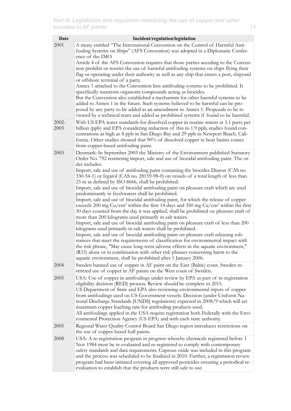| Date             | Incident/regulation/legislation                                                                                                                                                                                                                                                                                                                                                                                                                                                                                                                                          |
|------------------|--------------------------------------------------------------------------------------------------------------------------------------------------------------------------------------------------------------------------------------------------------------------------------------------------------------------------------------------------------------------------------------------------------------------------------------------------------------------------------------------------------------------------------------------------------------------------|
| 2001             | A treaty entitled "The International Convention on the Control of Harmful Anti-<br>fouling Systems on Ships" (AFS Convention) was adopted in a Diplomatic Confer-<br>ence of the IMO.<br>Article 4 of the AFS Convention requires that those parties acceding to the Conven-                                                                                                                                                                                                                                                                                             |
|                  | tion prohibit or restrict the use of harmful antifouling systems on ships flying their<br>flag or operating under their authority as well as any ship that enters a port, shipyard<br>or offshore terminal of a party.                                                                                                                                                                                                                                                                                                                                                   |
|                  | Annex 1 attached to the Convention lists antifouling systems to be prohibited. It<br>specifically mentions organotin compounds acting as biocides.                                                                                                                                                                                                                                                                                                                                                                                                                       |
|                  | But the Convention also established a mechanism for other harmful systems to be<br>added to Annex 1 in the future. Such systems believed to be harmful can be pro-<br>posed by any party to be added as an amendment to Annex 1. Proposals to be re-<br>viewed by a technical team and added as prohibited systems if found to be harmful.                                                                                                                                                                                                                               |
| $2002 -$<br>2003 | With US EPA water standards for dissolved copper in marine waters at 3.1 parts per<br>billion (ppb) and EPA considering reduction of this to 1.9 ppb, studies found con-<br>centrations as high as 8 ppb in San Diego Bay and 29 ppb in Newport Beach, Cali-<br>fornia. Other studies showed that 90% of dissolved copper in boat basins comes<br>from copper-based antifouling paint.                                                                                                                                                                                   |
| 2003             | Denmark: In September 2003 the Ministry of the Environment published Statutory<br>Order No. 792 restricting import, sale and use of biocidal antifouling paint. The or-<br>der includes:                                                                                                                                                                                                                                                                                                                                                                                 |
|                  | Import, sale and use of antifouling paint containing the biocides Diuron (CAS no.<br>330-54-1) or Irgarol (CAS no. 28159-98-0) on vessels of a total length of less than<br>25 m as defined by ISO 8666, shall be prohibited.                                                                                                                                                                                                                                                                                                                                            |
|                  | Import, sale and use of biocidal antifouling paint on pleasure craft which are used<br>predominantly in freshwaters shall be prohibited.                                                                                                                                                                                                                                                                                                                                                                                                                                 |
|                  | Import, sale and use of biocidal antifouling paint, for which the release of copper<br>exceeds 200 mg $Cu/cm2$ within the first 14 days and 350 mg $Cu/cm2$ within the first<br>30 days counted from the day it was applied, shall be prohibited on pleasure craft of<br>more than 200 kilograms used primarily in salt waters.                                                                                                                                                                                                                                          |
|                  | Import, sale and use of biocidal antifouling paint on pleasure craft of less than 200<br>kilograms used primarily in salt waters shall be prohibited.                                                                                                                                                                                                                                                                                                                                                                                                                    |
|                  | Import, sale and use of biocidal antifouling paint on pleasure craft releasing sub-<br>stances that meet the requirements of classification for environmental impact with<br>the risk phrase, "May cause long-term adverse effects in the aquatic environment,"<br>(R53) alone or in combination with other risk phrases concerning harm to the<br>aquatic environment, shall be prohibited after 1 January 2006.                                                                                                                                                        |
| 2004             | Sweden banned use of copper in AF paint on the East (Baltic) coast. Sweden re-<br>stricted use of copper in AF paints on the West coast of Sweden.                                                                                                                                                                                                                                                                                                                                                                                                                       |
| 2005             | USA: Use of copper in antifoulings under review by EPA as part of re-registration<br>eligibility decision (RED) process. Review should be complete in 2015.<br>US Department of State and EPA also reviewing environmental inputs of copper<br>from antifoulings used on US Government vessels. Decision (under Uniform Na-<br>tional Discharge Standards [UNDS] regulations) expected in 2008/9 which will set<br>maximum copper leaching rate for antifouling products used.<br>All antifoulings applied in the USA require registration both Federally with the Envi- |
| 2005             | ronmental Protection Agency (US EPA) and with each state authority.<br>Regional Water Quality Control Board San Diego region introduces restrictions on                                                                                                                                                                                                                                                                                                                                                                                                                  |
|                  | the use of copper-based hull paints.                                                                                                                                                                                                                                                                                                                                                                                                                                                                                                                                     |
| 2008             | USA: A re-registration program in progress whereby chemicals registered before 1<br>Nov 1984 must be re-evaluated and re-registered to comply with contemporary<br>safety standards and data requirements. Cuprous oxide was included in this program<br>and the process was scheduled to be finalized in 2010. Further, a registration review                                                                                                                                                                                                                           |
|                  | program had been initiated covering all approved pesticides ensuring a periodical re-<br>evaluation to establish that the products were still safe to use.                                                                                                                                                                                                                                                                                                                                                                                                               |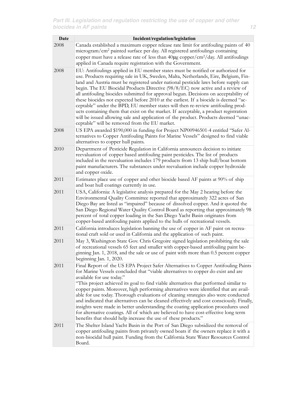| <b>Date</b> | Incident/regulation/legislation                                                                                                                                                                                                                                                                                                                                                                                                                                                                                                                                                                                                                                                                                                                                                                                                                    |
|-------------|----------------------------------------------------------------------------------------------------------------------------------------------------------------------------------------------------------------------------------------------------------------------------------------------------------------------------------------------------------------------------------------------------------------------------------------------------------------------------------------------------------------------------------------------------------------------------------------------------------------------------------------------------------------------------------------------------------------------------------------------------------------------------------------------------------------------------------------------------|
| 2008        | Canada established a maximum copper release rate limit for antifouling paints of 40<br>microgram/cm <sup>2</sup> painted surface per day. All registered antifoulings containing<br>copper must have a release rate of less than $40\mu$ g copper/cm <sup>2</sup> /day. All antifoulings<br>applied in Canada require registration with the Government.                                                                                                                                                                                                                                                                                                                                                                                                                                                                                            |
| 2008        | EU: Antifoulings applied in EU member states must be notified or authorized for<br>use. Products requiring sale in UK, Sweden, Malta, Netherlands, Eire, Belgium, Fin-<br>land and Austria must be registered under national pesticide laws before supply can<br>begin. The EU Biocidal Products Directive (98/8/EC) now active and a review of<br>all antifouling biocides submitted for approval begun. Decisions on acceptability of<br>these biocides not expected before 2010 at the earliest. If a biocide is deemed "ac-<br>ceptable" under the BPD, EU member states will then re-review antifouling prod-<br>ucts containing them that exist on the market. If acceptable, a product registration<br>will be issued allowing sale and application of the product. Products deemed "unac-<br>ceptable" will be removed from the EU market. |
| 2008        | US EPA awarded \$190,000 in funding for Project NP00946501-4 entitled "Safer Al-<br>ternatives to Copper Antifouling Paints for Marine Vessels" designed to find viable<br>alternatives to copper hull paints.                                                                                                                                                                                                                                                                                                                                                                                                                                                                                                                                                                                                                                     |
| 2010        | Department of Pesticide Regulation in California announces decision to initiate<br>reevaluation of copper based antifouling paint pesticides. The list of products<br>included in the reevaluation includes 179 products from 13 ship hull/boat bottom<br>paint manufacturers. The substances under reevaluation include copper hydroxide<br>and copper oxide.                                                                                                                                                                                                                                                                                                                                                                                                                                                                                     |
| 2011        | Estimates place use of copper and other biocide based AF paints at 90% of ship<br>and boat hull coatings currently in use.                                                                                                                                                                                                                                                                                                                                                                                                                                                                                                                                                                                                                                                                                                                         |
| 2011        | USA, California: A legislative analysis prepared for the May 2 hearing before the<br>Environmental Quality Committee reported that approximately 322 acres of San<br>Diego Bay are listed as "impaired" because of dissolved copper. And it quoted the<br>San Diego Regional Water Quality Control Board as reporting that approximately 98<br>percent of total copper loading in the San Diego Yacht Basin originates from<br>copper-based antifouling paints applied to the hulls of recreational vessels.                                                                                                                                                                                                                                                                                                                                       |
| 2011        | California introduces legislation banning the use of copper in AF paint on recrea-<br>tional craft sold or used in California and the application of such paint.                                                                                                                                                                                                                                                                                                                                                                                                                                                                                                                                                                                                                                                                                   |
| 2011        | May 3, Washington State Gov. Chris Gregoire signed legislation prohibiting the sale<br>of recreational vessels 65 feet and smaller with copper-based antifouling paint be-<br>ginning Jan. 1, 2018, and the sale or use of paint with more than 0.5 percent copper<br>beginning Jan. 1, 2020.                                                                                                                                                                                                                                                                                                                                                                                                                                                                                                                                                      |
| 2011        | Final Report of the US EPA Project Safer Alternatives to Copper Antifouling Paints<br>for Marine Vessels concluded that "viable alternatives to copper do exist and are<br>available for use today."<br>"This project achieved its goal to find viable alternatives that performed similar to<br>copper paints. Moreover, high performing alternatives were identified that are avail-<br>able for use today. Thorough evaluations of cleaning strategies also were conducted<br>and indicated that alternatives can be cleaned effectively and cost consciously. Finally,<br>insights were made in better understanding the coating application procedures used<br>for alternative coatings. All of which are believed to have cost-effective long term<br>benefits that should help increase the use of these products."                         |
| 2011        | The Shelter Island Yacht Basin in the Port of San Diego subsidized the removal of<br>copper antifouling paints from privately owned boats if the owners replace it with a<br>non-biocidal hull paint. Funding from the California State Water Resources Control<br>Board.                                                                                                                                                                                                                                                                                                                                                                                                                                                                                                                                                                          |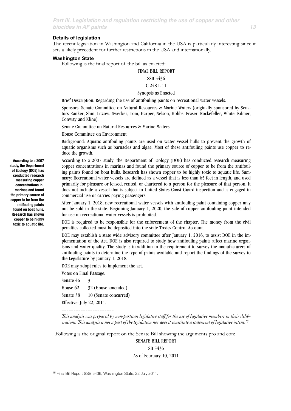### **Details of legislation**

The recent legislation in Washington and California in the USA is particularly interesting since it sets a likely precedent for further restrictions in the USA and internationally.

### **Washington State**

Following is the final report of the bill as enacted:

FINAL BILL REPORT

### SSB 5436

### C 248 L 11

# Synopsis as Enacted

Brief Description: Regarding the use of antifouling paints on recreational water vessels.

Sponsors: Senate Committee on Natural Resources & Marine Waters (originally sponsored by Senators Ranker, Shin, Litzow, Swecker, Tom, Harper, Nelson, Hobbs, Fraser, Rockefeller, White, Kilmer, Conway and Kline).

Senate Committee on Natural Resources & Marine Waters

House Committee on Environment

Background: Aquatic antifouling paints are used on water vessel hulls to prevent the growth of aquatic organisms such as barnacles and algae. Most of these antifouling paints use copper to reduce the growth.

According to a 2007 study, the Department of Ecology (DOE) has conducted research measuring copper concentrations in marinas and found the primary source of copper to be from the antifouling paints found on boat hulls. Research has shown copper to be highly toxic to aquatic life. Summary: Recreational water vessels are defined as a vessel that is less than 65 feet in length, and used primarily for pleasure or leased, rented, or chartered to a person for the pleasure of that person. It does not include a vessel that is subject to United States Coast Guard inspection and is engaged in commercial use or carries paying passengers.

After January 1, 2018, new recreational water vessels with antifouling paint containing copper may not be sold in the state. Beginning January 1, 2020, the sale of copper antifouling paint intended for use on recreational water vessels is prohibited.

DOE is required to be responsible for the enforcement of the chapter. The money from the civil penalties collected must be deposited into the state Toxics Control Account.

DOE may establish a state wide advisory committee after January 1, 2016, to assist DOE in the implementation of the Act. DOE is also required to study how antifouling paints affect marine organisms and water quality. The study is in addition to the requirement to survey the manufacturers of antifouling paints to determine the type of paints available and report the findings of the survey to the Legislature by January 1, 2018.

DOE may adopt rules to implement the act.

Votes on Final Passage:

Senate 46 3

House  $62 \qquad 32$  (House amended)

Senate 38 10 (Senate concurred)

Effective: July 22, 2011.

––––––––––––––––––––––

*is analysis was prepared by non-partisan legislative sta*ff *for the use of legislative members in their deliberations. is analysis is not a part of the legislation nor does it constitute a statement of legislative intent[.15](#page-12-0)*

Following is the original report on the Senate Bill showing the arguments pro and con:

SENATE BILL REPORT

SB 5436

As of February 10, 2011

**According to a 2007 study, the Department of Ecology (DOE) has conducted research measuring copper concentrations in marinas and found the primary source of copper to be from the antifouling paints found on boat hulls. Research has shown copper to be highly toxic to aquatic life.**

<span id="page-12-0"></span><sup>15</sup> Final Bill Report SSB 5436, Washington State, 22 July 2011.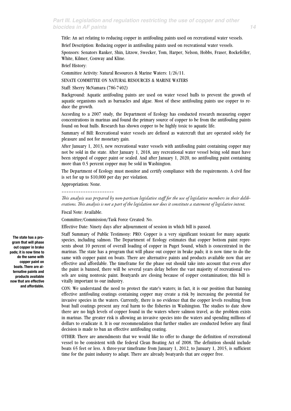Title: An act relating to reducing copper in antifouling paints used on recreational water vessels.

Brief Description: Reducing copper in antifouling paints used on recreational water vessels.

Sponsors: Senators Ranker, Shin, Litzow, Swecker, Tom, Harper, Nelson, Hobbs, Fraser, Rockefeller, White, Kilmer, Conway and Kline.

Brief History:

Committee Activity: Natural Resources & Marine Waters: 1/26/11.

SENATE COMMITTEE ON NATURAL RESOURCES & MARINE WATERS

Staff: Sherry McNamara (786-7402)

Background: Aquatic antifouling paints are used on water vessel hulls to prevent the growth of aquatic organisms such as barnacles and algae. Most of these antifouling paints use copper to reduce the growth.

According to a 2007 study, the Department of Ecology has conducted research measuring copper concentrations in marinas and found the primary source of copper to be from the antifouling paints found on boat hulls. Research has shown copper to be highly toxic to aquatic life.

Summary of Bill: Recreational water vessels are defined as watercraft that are operated solely for pleasure and not for monetary gain.

After January 1, 2013, new recreational water vessels with antifouling paint containing copper may not be sold in the state. After January 1, 2018, any recreational water vessel being sold must have been stripped of copper paint or sealed. And after January 1, 2020, no antifouling paint containing more than 0.5 percent copper may be sold in Washington.

The Department of Ecology must monitor and certify compliance with the requirements. A civil fine is set for up to \$10,000 per day per violation.

Appropriation: None.

––––––––––––––––––––––

*is analysis was prepared by non-partisan legislative sta*ff *for the use of legislative members in their deliberations. is analysis is not a part of the legislation nor does it constitute a statement of legislative intent.*

Fiscal Note: Available.

Committee/Commission/Task Force Created: No.

Effective Date: Ninety days after adjournment of session in which bill is passed.

Staff Summary of Public Testimony: PRO: Copper is a very significant toxicant for many aquatic species, including salmon. The Department of Ecology estimates that copper bottom paint represents about 10 percent of overall loading of copper in Puget Sound, which is concentrated in the marinas. The state has a program that will phase out copper in brake pads; it is now time to do the same with copper paint on boats. There are alternative paints and products available now that are effective and affordable. The timeframe for the phase out should take into account that even after the paint is banned, there will be several years delay before the vast majority of recreational vessels are using nontoxic paint. Boatyards are closing because of copper contamination; this bill is vitally important to our industry.

CON: We understand the need to protect the state's waters; in fact, it is our position that banning effective antifouling coatings containing copper may create a risk by increasing the potential for invasive species in the waters. Currently, there is no evidence that the copper levels resulting from boat hull coatings present any real harm to the fisheries in Washington. The studies to date show there are no high levels of copper found in the waters where salmon travel, as the problem exists in marinas. The greater risk is allowing an invasive species into the waters and spending millions of dollars to eradicate it. It is our recommendation that further studies are conducted before any final decision is made to ban an effective antifouling coating.

OTHER: There are amendments that we would like to offer to change the definition of recreational vessel to be consistent with the federal Clean Boating Act of 2008. The definition should include boats 65 feet or less. A three-year timeframe from January 1, 2012, to January 1, 2015, is sufficient time for the paint industry to adapt. There are already boatyards that are copper free.

**The state has a program that will phase out copper in brake pads; it is now time to do the same with copper paint on boats. There are alternative paints and products available now that are effective and affordable.**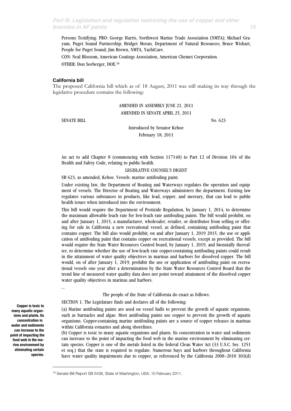Persons Testifying: PRO: George Harris, Northwest Marine Trade Association (NMTA); Michael Grayum, Puget Sound Partnership; Bridget Moran, Department of Natural Resources; Bruce Wishart, People for Puget Sound; Jim Brown, NMTA, YachtCare.

CON: Neal Blossom, American Coatings Association, American Chemet Corporation.

OTHER: Don Seeberger, DOE.[16](#page-14-0)

### **California bill**

The proposed California bill which as of 18 August, 2011 was still making its way through the legislative procedure contains the following:

> AMENDED IN ASSEMBLY JUNE 21, 2011 AMENDED IN SENATE APRIL 25, 2011

SENATE BILL No. 623

Introduced by Senator Kehoe February 18, 2011

An act to add Chapter 8 (commencing with Section 117140) to Part 12 of Division 104 of the Health and Safety Code, relating to public health.

LEGISLATIVE COUNSEL'S DIGEST

SB 623, as amended, Kehoe. Vessels: marine antifouling paint.

Under existing law, the Department of Boating and Waterways regulates the operation and equipment of vessels. The Director of Boating and Waterways administers the department. Existing law regulates various substances in products, like lead, copper, and mercury, that can lead to public health issues when introduced into the environment.

This bill would require the Department of Pesticide Regulation, by January 1, 2014, to determine the maximum allowable leach rate for low-leach rate antifouling paints. The bill would prohibit, on and after January 1, 2015, a manufacturer, wholesaler, retailer, or distributor from selling or offering for sale in California a new recreational vessel, as defined, containing antifouling paint that contains copper. The bill also would prohibit, on and after January 1, 2019 2015, the use or application of antifouling paint that contains copper on recreational vessels, except as provided. The bill would require the State Water Resources Control board, by January 1, 2019, and biennially thereafter, to determine whether the use of low-leach rate copper-containing antifouling paints could result in the attainment of water quality objectives in marinas and harbors for dissolved copper. The bill would, on of after January 1, 2019, prohibit the use or application of antifouling paint on recreational vessels one year after a determination by the State Water Resources Control Board that the trend line of measured water quality data does not point toward attainment of the dissolved copper water quality objectives in marinas and harbors.

The people of the State of California do enact as follows:

SECTION 1. The Legislature finds and declares all of the following:

(a) Marine antifouling paints are used on vessel hulls to prevent the growth of aquatic organisms, such as barnacles and algae. Most antifouling paints use copper to prevent the growth of aquatic organisms. Copper-containing marine antifouling paints are a source of copper releases in marinas within California estuaries and along shorelines.

(b) Copper is toxic to many aquatic organisms and plants. Its concentration in water and sediments can increase to the point of impacting the food web in the marine environment by eliminating certain species. Copper is one of the metals listed in the federal Clean Water Act (33 U.S.C. Sec. 1251 et seq.) that the state is required to regulate. Numerous bays and harbors throughout California have water quality impairments due to copper, as referenced by the California 2008–2010 303(d)

**Copper is toxic to many aquatic organisms and plants. Its concentration in water and sediments can increase to the point of impacting the food web in the marine environment by eliminating certain species.**

…

<span id="page-14-0"></span><sup>16</sup> Senate Bill Report SB 5436, State of Washington, USA, 10 February 2011.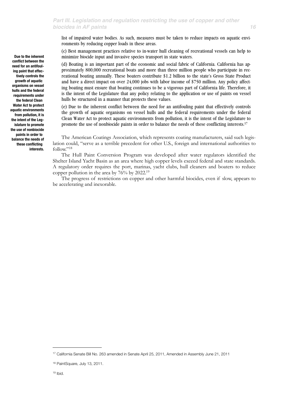list of impaired water bodies. As such, measures must be taken to reduce impacts on aquatic environments by reducing copper loads in these areas.

(c) Best management practices relative to in-water hull cleaning of recreational vessels can help to minimize biocide input and invasive species transport in state waters.

(d) Boating is an important part of the economic and social fabric of California. California has approximately 800,000 recreational boats and more than three million people who participate in recreational boating annually. These boaters contribute \$1.2 billion to the state's Gross State Product and have a direct impact on over 24,000 jobs with labor income of \$750 million. Any policy affecting boating must ensure that boating continues to be a vigorous part of California life. Therefore, it is the intent of the Legislature that any policy relating to the application or use of paints on vessel hulls be structured in a manner that protects these values.

(e) Due to the inherent conflict between the need for an antifouling paint that effectively controls the growth of aquatic organisms on vessel hulls and the federal requirements under the federal Clean Water Act to protect aquatic environments from pollution, it is the intent of the Legislature to promote the use of nonbiocide paints in order to balance the needs of these conflicting interests[.17](#page-15-0)

The American Coatings Association, which represents coating manufacturers, said such legislation could, "serve as a terrible precedent for other U.S., foreign and international authorities to follow."[18](#page-15-1)

The Hull Paint Conversion Program was developed after water regulators identified the Shelter Island Yacht Basin as an area where high copper levels exceed federal and state standards. A regulatory order requires the port, marinas, yacht clubs, hull cleaners and boaters to reduce copper pollution in the area by 76% by 2022[.19](#page-15-2)

The progress of restrictions on copper and other harmful biocides, even if slow, appears to be accelerating and inexorable.

**Due to the inherent conflict between the need for an antifouling paint that effectively controls the growth of aquatic organisms on vessel hulls and the federal requirements under the federal Clean Water Act to protect aquatic environments from pollution, it is the intent of the Legislature to promote the use of nonbiocide paints in order to balance the needs of these conflicting interests.**

<span id="page-15-0"></span><sup>17</sup> California Senate Bill No. 263 amended in Senate April 25, 2011, Amended in Assembly June 21, 2011

<span id="page-15-2"></span><span id="page-15-1"></span><sup>18</sup> PaintSquare, July 13, 2011.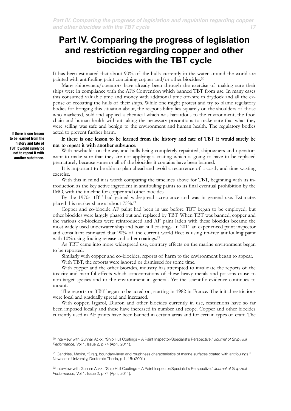# **Part IV. Comparing the progress of legislation and restriction regarding copper and other biocides with the TBT cycle**

It has been estimated that about 90% of the hulls currently in the water around the world are painted with antifouling paint containing copper and/or other biocides[.20](#page-16-0)

Many shipowners/operators have already been through the exercise of making sure their ships were in compliance with the AFS Convention which banned TBT from use. In many cases this consumed valuable time and money with additional time off-hire in drydock and all the expense of recoating the hulls of their ships. While one might protest and try to blame regulatory bodies for bringing this situation about, the responsibility lies squarely on the shoulders of those who marketed, sold and applied a chemical which was hazardous to the environment, the food chain and human health without taking the necessary precautions to make sure that what they were selling was safe and benign to the environment and human health. The regulatory bodies acted to prevent further harm.

If there is one lesson to be learned from the history and fate of TBT it would surely be not to repeat it with another substance.

With newbuilds on the way and hulls being completely repainted, shipowners and operators want to make sure that they are not applying a coating which is going to have to be replaced prematurely because some or all of the biocides it contains have been banned.

It is important to be able to plan ahead and avoid a recurrence of a costly and time wasting exercise.

With this in mind it is worth comparing the timelines above for TBT, beginning with its introduction as the key active ingredient in antifouling paints to its final eventual prohibition by the IMO, with the timeline for copper and other biocides.

By the 1970s TBT had gained widespread acceptance and was in general use. Estimates placed this market share at about 75%[.21](#page-16-1)

Copper and co-biocide AF paint had been in use before TBT began to be employed, but other biocides were largely phased out and replaced by TBT. When TBT was banned, copper and the various co-biocides were reintroduced and AF paint laden with these biocides became the most widely used underwater ship and boat hull coatings. In 2011 an experienced paint inspector and consultant estimated that 90% of the current world fleet is using tin-free antifouling paint with 10% using fouling release and other coatings.<sup>22</sup>

As TBT came into more widespread use, contrary effects on the marine environment began to be reported.

Similarly with copper and co-biocides, reports of harm to the environment began to appear. With TBT, the reports were ignored or dismissed for some time.

With copper and the other biocides, industry has attempted to invalidate the reports of the toxicity and harmful effects which concentrations of these heavy metals and poisons cause to non-target species and to the environment in general. Yet the scientific evidence continues to mount.

The reports on TBT began to be acted on, starting in 1982 in France. The initial restrictions were local and gradually spread and increased.

With copper, Irgarol, Diuron and other biocides currently in use, restrictions have so far been imposed locally and these have increased in number and scope. Copper and other biocides currently used in AF paints have been banned in certain areas and for certain types of craft. The

**If there is one lesson to be learned from the history and fate of TBT it would surely be not to repeat it with another substance.**

<span id="page-16-0"></span><sup>20</sup> Interview with Gunnar Ackx, "Ship Hull Coatings – A Paint Inspector/Specialist's Perspective." *Journal of Ship Hull Performance,* Vol 1. Issue 2, p 74 (April, 2011).

<span id="page-16-1"></span><sup>&</sup>lt;sup>21</sup> Candries, Maxim, "Drag, boundary-layer and roughness characteristics of marine surfaces coated with antifoulings," Newcastle University, Doctorate Thesis, p 1, 15: (2001)

<span id="page-16-2"></span><sup>22</sup> Interview with Gunnar Ackx, "Ship Hull Coatings – A Paint Inspector/Specialist's Perspective." *Journal of Ship Hull Performance,* Vol 1. Issue 2, p 74 (April, 2011).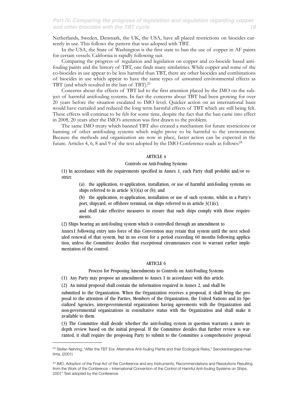# *Part IV. Comparing the progress of legislation and regulation regarding copper and other biocides with the TBT cycle 18*

Netherlands, Sweden, Denmark, the UK, the USA, have all placed restrictions on biocides currently in use. This follows the pattern that was adopted with TBT.

In the USA, the State of Washington is the first state to ban the use of copper in AF paints for certain vessels. California is rapidly following suit.

Comparing the progress of regulation and legislation on copper and co-biocide based antifouling paints and the history of TBT, one finds many similarities. While copper and some of the co-biocides in use appear to be less harmful than TBT, there are other biocides and combinations of biocides in use which appear to have the same types of unwanted environmental effects as TBT (and which resulted in the ban of TBT)[.23](#page-17-0)

Concerns about the effects of TBT led to the first attention placed by the IMO on the subject of harmful antifouling systems. In fact the concerns about TBT had been growing for over 20 years before the situation escalated to IMO level. Quicker action on an international basis would have curtailed and reduced the long term harmful effects of TBT which are still being felt. These effects will continue to be felt for some time, despite the fact that the ban came into effect in 2008, 20 years after the IMO's attention was first drawn to the problem.

The same IMO treaty which banned TBT also created a mechanism for future restrictions or banning of other antifouling systems which might prove to be harmful to the environment. Because the methods and organization are now in place, faster action can be expected in the future. Articles 4, 6, 8 and 9 of the text adopted by the IMO Conference reads as follows[:24](#page-17-1)

# ARTICLE 4

### Controls on Anti-Fouling Systems

(1) In accordance with the requirements specified in Annex 1, each Party shall prohibit and/or restrict:

(a) the application, re-application, installation, or use of harmful anti-fouling systems on ships referred to in article  $3(1)(a)$  or (b); and

(b) the application, re-application, installation or use of such systems, whilst in a Party's port, shipyard, or offshore terminal, on ships referred to in article  $3(1)(c)$ ,

and shall take effective measures to ensure that such ships comply with those requirements.

(2) Ships bearing an anti-fouling system which is controlled through an amendment to

Annex1 following entry into force of this Convention may retain that system until the next scheduled renewal of that system, but in no event for a period exceeding 60 months following application, unless the Committee decides that exceptional circumstances exist to warrant earlier implementation of the control.

### ARTICLE 6

Process for Proposing Amendments to Controls on Anti-Fouling Systems

(1) Any Party may propose an amendment to Annex 1 in accordance with this article.

(2) An initial proposal shall contain the information required in Annex 2, and shall be

submitted to the Organization. When the Organization receives a proposal, it shall bring the proposal to the attention of the Parties, Members of the Organization, the United Nations and its Specialized Agencies, intergovernmental organizations having agreements with the Organization and non-governmental organizations in consultative status with the Organization and shall make it available to them.

(3) The Committee shall decide whether the anti-fouling system in question warrants a more indepth review based on the initial proposal. If the Committee decides that further review is warranted, it shall require the proposing Party to submit to the Committee a comprehensive proposal

<span id="page-17-0"></span><sup>&</sup>lt;sup>23</sup> Stefan Nehring, "After the TBT Era: Alternative Anti-fouling Paints and their Ecological Risks," Senckenbergiana maritima, (2001)

<span id="page-17-1"></span><sup>&</sup>lt;sup>24</sup> IMO, Adoption of the Final Act of the Conference and any Instruments, Recommendations and Resolutions Resulting from the Work of the Conference – International Convention of the Control of Harmful Anti-fouling Systems on Ships, 2001" Text adopted by the Conference.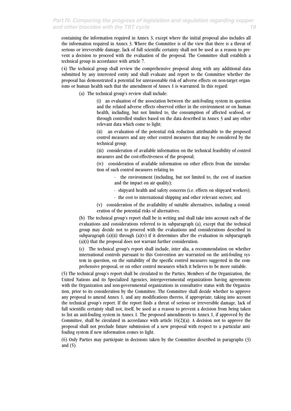containing the information required in Annex 3, except where the initial proposal also includes all the information required in Annex 3. Where the Committee is of the view that there is a threat of serious or irreversible damage, lack of full scientific certainty shall not be used as a reason to prevent a decision to proceed with the evaluation of the proposal. The Committee shall establish a technical group in accordance with article 7.

(4) The technical group shall review the comprehensive proposal along with any additional data submitted by any interested entity and shall evaluate and report to the Committee whether the proposal has demonstrated a potential for unreasonable risk of adverse effects on non-target organisms or human health such that the amendment of Annex 1 is warranted. In this regard:

(a) The technical group's review shall include:

(i) an evaluation of the association between the anti-fouling system in question and the related adverse effects observed either in the environment or on human health, including, but not limited to, the consumption of affected seafood, or through controlled studies based on the data described in Annex 3 and any other relevant data which come to light;

(ii) an evaluation of the potential risk reduction attributable to the proposed control measures and any other control measures that may be considered by the technical group;

(iii) consideration of available information on the technical feasibility of control measures and the cost-effectiveness of the proposal;

(iv) consideration of available information on other effects from the introduction of such control measures relating to:

- the environment (including, but not limited to, the cost of inaction and the impact on air quality);
- shipyard health and safety concerns (i.e. effects on shipyard workers);
- the cost to international shipping and other relevant sectors; and

(v) consideration of the availability of suitable alternatives, including a consideration of the potential risks of alternatives.

(b) The technical group's report shall be in writing and shall take into account each of the evaluations and considerations referred to in subparagraph (a), except that the technical group may decide not to proceed with the evaluations and considerations described in subparagraph (a)(ii) through (a)(v) if it determines after the evaluation in subparagraph (a)(i) that the proposal does not warrant further consideration.

(c) The technical group's report shall include, inter alia, a recommendation on whether international controls pursuant to this Convention are warranted on the anti-fouling system in question, on the suitability of the specific control measures suggested in the comprehensive proposal, or on other control measures which it believes to be more suitable.

(5) The technical group's report shall be circulated to the Parties, Members of the Organization, the United Nations and its Specialized Agencies, intergovernmental organizations having agreements with the Organization and non-governmental organizations in consultative status with the Organization, prior to its consideration by the Committee. The Committee shall decide whether to approve any proposal to amend Annex 1, and any modifications thereto, if appropriate, taking into account the technical group's report. If the report finds a threat of serious or irreversible damage, lack of full scientific certainty shall not, itself, be used as a reason to prevent a decision from being taken to list an anti-fouling system in Annex 1. The proposed amendments to Annex 1, if approved by the Committee, shall be circulated in accordance with article 16(2)(a). A decision not to approve the proposal shall not preclude future submission of a new proposal with respect to a particular antifouling system if new information comes to light.

(6) Only Parties may participate in decisions taken by the Committee described in paragraphs (3) and (5).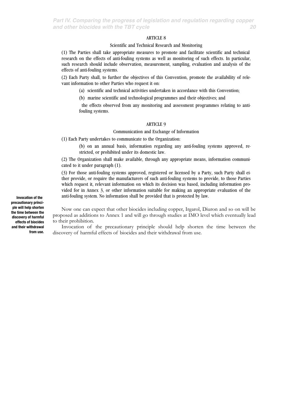*Part IV. Comparing the progress of legislation and regulation regarding copper and other biocides with the TBT cycle 20*

# ARTICLE 8

# Scientific and Technical Research and Monitoring

(1) The Parties shall take appropriate measures to promote and facilitate scientific and technical research on the effects of anti-fouling systems as well as monitoring of such effects. In particular, such research should include observation, measurement, sampling, evaluation and analysis of the effects of anti-fouling systems.

(2) Each Party shall, to further the objectives of this Convention, promote the availability of relevant information to other Parties who request it on:

(a) scientific and technical activities undertaken in accordance with this Convention;

(b) marine scientific and technological programmes and their objectives; and

the effects observed from any monitoring and assessment programmes relating to antifouling systems.

### ARTICLE 9

### Communication and Exchange of Information

(1) Each Party undertakes to communicate to the Organization:

(b) on an annual basis, information regarding any anti-fouling systems approved, restricted, or prohibited under its domestic law.

(2) The Organization shall make available, through any appropriate means, information communicated to it under paragraph (1).

(3) For those anti-fouling systems approved, registered or licensed by a Party, such Party shall either provide, or require the manufacturers of such anti-fouling systems to provide, to those Parties which request it, relevant information on which its decision was based, including information provided for in Annex 3, or other information suitable for making an appropriate evaluation of the anti-fouling system. No information shall be provided that is protected by law.

Now one can expect that other biocides including copper, Irgarol, Diuron and so on will be proposed as additions to Annex 1 and will go through studies at IMO level which eventually lead to their prohibition.

Invocation of the precautionary principle should help shorten the time between the discovery of harmful effects of biocides and their withdrawal from use.

**Invocation of the precautionary principle will help shorten the time between the discovery of harmful effects of biocides and their withdrawal from use.**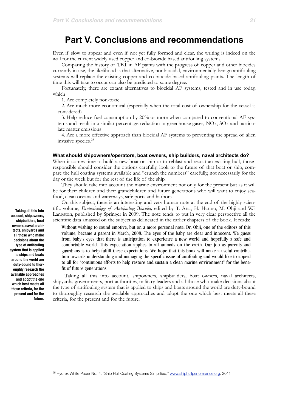# **Part V. Conclusions and recommendations**

Even if slow to appear and even if not yet fully formed and clear, the writing is indeed on the wall for the current widely used copper and co-biocide based antifouling systems.

Comparing the history of TBT in AF paints with the progress of copper and other biocides currently in use, the likelihood is that alternative, nonbiocidal, environmentally-benign antifouling systems will replace the existing copper and co-biocide based antifouling paints. The length of time this will take to occur can also be predicted to some degree.

Fortunately, there are extant alternatives to biocidal AF systems, tested and in use today, which

1. Are completely non-toxic

2. Are much more economical (especially when the total cost of ownership for the vessel is considered)

3. Help reduce fuel consumption by 20% or more when compared to conventional AF systems and result in a similar percentage reduction in greenhouse gases, NOx, SOx and particulate matter emissions

4. Are a more effective approach than biocidal AF systems to preventing the spread of alien invasive species.[25](#page-20-0)

#### **What should shipowners/operators, boat owners, ship builders, naval architects do?**

When it comes time to build a new boat or ship or to reblast and recoat an existing hull, those responsible should consider the options carefully, look to the future of that boat or ship, compare the hull coating systems available and "crunch the numbers" carefully, not necessarily for the day or the week but for the rest of the life of the ship.

They should take into account the marine environment not only for the present but as it will be for their children and their grandchildren and future generations who will want to enjoy seafood, clean oceans and waterways, safe ports and harbors.

On this subject, there is an interesting and very human note at the end of the highly scientific volume, *Ecotoxicology of Antifouling Biocides,* edited by T. Arai, H. Harino, M. Ohji and W.J. Langston, published by Springer in 2009. The note tends to put in very clear perspective all the scientific data amassed on the subject as delineated in the earlier chapters of the book. It reads:

Without wishing to sound emotive, but on a more personal note, Dr. Ohji, one of the editors of this volume, became a parent in March, 2008. The eyes of the baby are clear and innocent. We guess from baby's eyes that there is anticipation to experience a new world and hopefully a safe and comfortable world. This expectation applies to all animals on the earth. Our job as parents and guardians is to help fulfill these expectations. We hope that this book will make a useful contribution towards understanding and managing the specific issue of antifouling and would like to appeal to all for "continuous efforts to help restore and sustain a clean marine environment" for the benefit of future generations.

 Taking all this into account, shipowners, shipbuilders, boat owners, naval architects, shipyards, governments, port authorities, military leaders and all those who make decisions about the type of antifouling system that is applied to ships and boats around the world are duty-bound to thoroughly research the available approaches and adopt the one which best meets all these criteria, for the present and for the future.

 **Taking all this into account, shipowners, shipbuilders, boat owners, naval architects, shipyards and all those who make decisions about the type of antifouling system that is applied to ships and boats around the world are duty-bound to thoroughly research the available approaches and adopt the one which best meets all these criteria, for the present and for the future.**

<span id="page-20-0"></span><sup>&</sup>lt;sup>25</sup> Hydrex White Paper No. 4, "Ship Hull Coating Systems Simplified," [www.shiphullperformance.org](http://www.shiphullperformance.org), 2011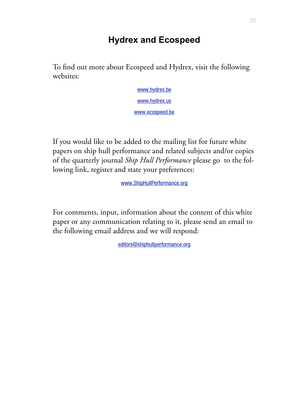# **Hydrex and Ecospeed**

To find out more about Ecospeed and Hydrex, visit the following websites:

> [www.hydrex.be](http://www.hydrex.be) [www.hydrex.us](http://www.hydrex.us) [www.ecospeed.be](http://www.ecospeed.be)

If you would like to be added to the mailing list for future white papers on ship hull performance and related subjects and/or copies of the quarterly journal *Ship Hull Performance* please go to the following link, register and state your preferences:

[www.ShipHullPerformance.org](http://www.ShipHullPerformance.org)

For comments, input, information about the content of this white paper or any communication relating to it, please send an email to the following email address and we will respond:

[editors@shiphullperformance.org](mailto:editors@shiphullperformance.org)